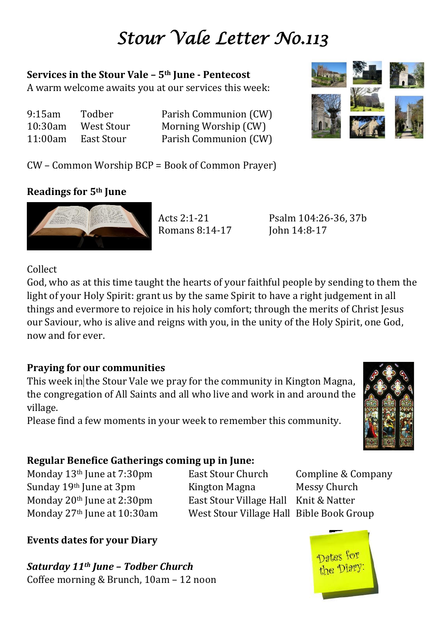# *Stour Vale Letter No.113*

#### **Services in the Stour Vale – 5th June - Pentecost**

A warm welcome awaits you at our services this week:

| 9:15am  | Todber     | Parish Communion (CW) |
|---------|------------|-----------------------|
| 10:30am | West Stour | Morning Worship (CW)  |
| 11:00am | East Stour | Parish Communion (CW) |



CW – Common Worship BCP = Book of Common Prayer)

## **Readings for 5th June**



Romans 8:14-17 John 14:8-17

Acts 2:1-21 Psalm 104:26-36, 37b

Collect

God, who as at this time taught the hearts of your faithful people by sending to them the light of your Holy Spirit: grant us by the same Spirit to have a right judgement in all things and evermore to rejoice in his holy comfort; through the merits of Christ Jesus our Saviour, who is alive and reigns with you, in the unity of the Holy Spirit, one God, now and for ever.

## **Praying for our communities**

This week in the Stour Vale we pray for the community in Kington Magna, the congregation of All Saints and all who live and work in and around the village.

Please find a few moments in your week to remember this community.

## **Regular Benefice Gatherings coming up in June:**

Monday 13<sup>th</sup> June at 7:30pm East Stour Church Compline & Company Sunday 19<sup>th</sup> June at 3pm Kington Magna Messy Church Monday 20<sup>th</sup> June at 2:30pm East Stour Village Hall Knit & Natter Monday 27th June at 10:30am West Stour Village Hall Bible Book Group

**Events dates for your Diary**

*Saturday 11th June – Todber Church* Coffee morning & Brunch, 10am – 12 noon



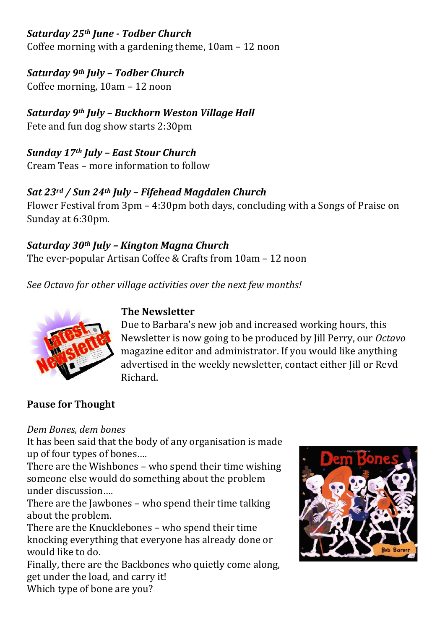# *Saturday 25th June - Todber Church*

Coffee morning with a gardening theme, 10am – 12 noon

## *Saturday 9th July – Todber Church*

Coffee morning, 10am – 12 noon

#### *Saturday 9th July – Buckhorn Weston Village Hall* Fete and fun dog show starts 2:30pm

#### *Sunday 17th July – East Stour Church* Cream Teas – more information to follow

## *Sat 23rd / Sun 24th July – Fifehead Magdalen Church*

Flower Festival from 3pm – 4:30pm both days, concluding with a Songs of Praise on Sunday at 6:30pm.

# *Saturday 30th July – Kington Magna Church*

The ever-popular Artisan Coffee & Crafts from 10am – 12 noon

*See Octavo for other village activities over the next few months!*



# **The Newsletter**

Due to Barbara's new job and increased working hours, this Newsletter is now going to be produced by Jill Perry, our *Octavo* magazine editor and administrator. If you would like anything advertised in the weekly newsletter, contact either Jill or Revd Richard.

## **Pause for Thought**

#### *Dem Bones, dem bones*

It has been said that the body of any organisation is made up of four types of bones….

There are the Wishbones – who spend their time wishing someone else would do something about the problem under discussion….

There are the Jawbones – who spend their time talking about the problem.

There are the Knucklebones – who spend their time knocking everything that everyone has already done or would like to do.

Finally, there are the Backbones who quietly come along, get under the load, and carry it!

Which type of bone are you?

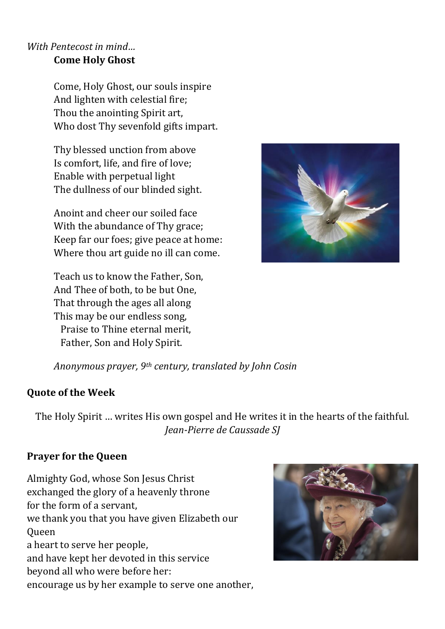#### *With Pentecost in mind…* **Come Holy Ghost**

Come, Holy Ghost, our souls inspire And lighten with celestial fire; Thou the anointing Spirit art, Who dost Thy sevenfold gifts impart.

Thy blessed unction from above Is comfort, life, and fire of love; Enable with perpetual light The dullness of our blinded sight.

Anoint and cheer our soiled face With the abundance of Thy grace; Keep far our foes; give peace at home: Where thou art guide no ill can come.

Teach us to know the Father, Son, And Thee of both, to be but One, That through the ages all along This may be our endless song, Praise to Thine eternal merit, Father, Son and Holy Spirit.



*Anonymous prayer, 9th century, translated by John Cosin*

#### **Quote of the Week**

The Holy Spirit … writes His own gospel and He writes it in the hearts of the faithful. *Jean-Pierre de Caussade SJ*

#### **Prayer for the Queen**

Almighty God, whose Son Jesus Christ exchanged the glory of a heavenly throne for the form of a servant, we thank you that you have given Elizabeth our Queen a heart to serve her people, and have kept her devoted in this service beyond all who were before her: encourage us by her example to serve one another,